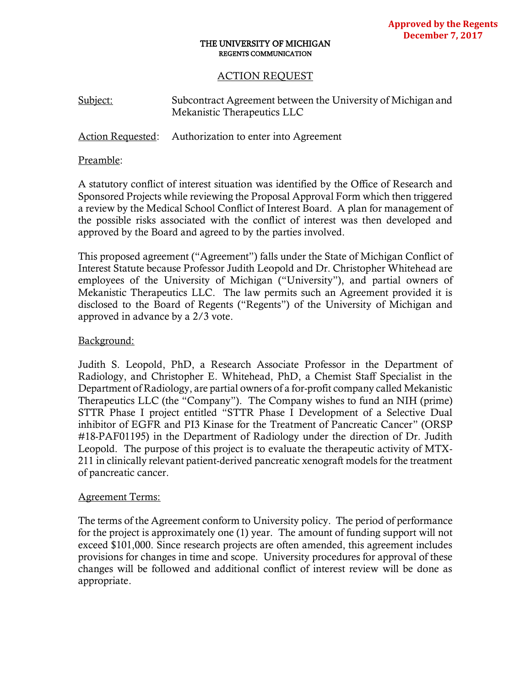### THE UNIVERSITY OF MICHIGAN REGENTS COMMUNICATION

# ACTION REQUEST

| Subject: | Subcontract Agreement between the University of Michigan and |
|----------|--------------------------------------------------------------|
|          | Mekanistic Therapeutics LLC                                  |

Action Requested: Authorization to enter into Agreement

## Preamble:

A statutory conflict of interest situation was identified by the Office of Research and Sponsored Projects while reviewing the Proposal Approval Form which then triggered a review by the Medical School Conflict of Interest Board. A plan for management of the possible risks associated with the conflict of interest was then developed and approved by the Board and agreed to by the parties involved.

This proposed agreement ("Agreement") falls under the State of Michigan Conflict of Interest Statute because Professor Judith Leopold and Dr. Christopher Whitehead are employees of the University of Michigan ("University"), and partial owners of Mekanistic Therapeutics LLC. The law permits such an Agreement provided it is disclosed to the Board of Regents ("Regents") of the University of Michigan and approved in advance by a 2/3 vote.

## Background:

Judith S. Leopold, PhD, a Research Associate Professor in the Department of Radiology, and Christopher E. Whitehead, PhD, a Chemist Staff Specialist in the Department of Radiology, are partial owners of a for-profit company called Mekanistic Therapeutics LLC (the "Company"). The Company wishes to fund an NIH (prime) STTR Phase I project entitled "STTR Phase I Development of a Selective Dual inhibitor of EGFR and PI3 Kinase for the Treatment of Pancreatic Cancer" (ORSP #18-PAF01195) in the Department of Radiology under the direction of Dr. Judith Leopold. The purpose of this project is to evaluate the therapeutic activity of MTX-211 in clinically relevant patient-derived pancreatic xenograft models for the treatment of pancreatic cancer.

## Agreement Terms:

The terms of the Agreement conform to University policy. The period of performance for the project is approximately one (1) year. The amount of funding support will not exceed \$101,000. Since research projects are often amended, this agreement includes provisions for changes in time and scope. University procedures for approval of these changes will be followed and additional conflict of interest review will be done as appropriate.